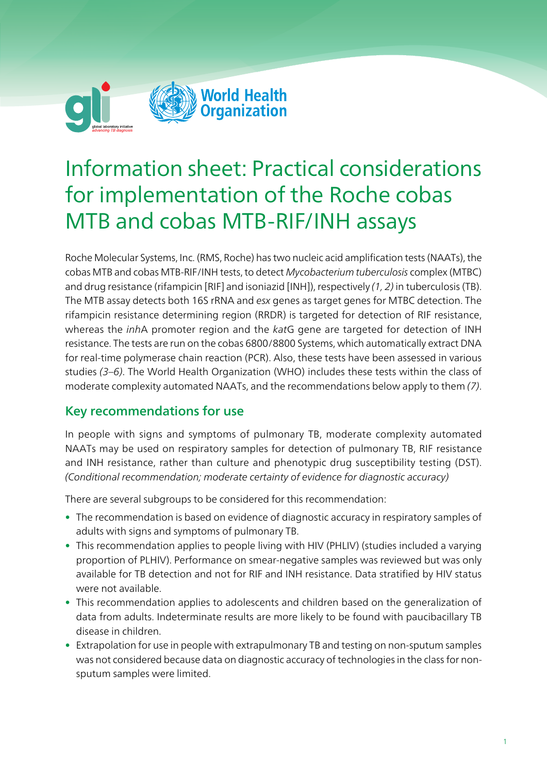

# Information sheet: Practical considerations for implementation of the Roche cobas MTB and cobas MTB-RIF/INH assays

Roche Molecular Systems, Inc. (RMS, Roche) has two nucleic acid amplification tests (NAATs), the cobas MTB and cobas MTB-RIF/INH tests, to detect Mycobacterium tuberculosis complex (MTBC) and drug resistance (rifampicin [RIF] and isoniazid [INH]), respectively  $(1, 2)$  in tuberculosis (TB). The MTB assay detects both 16S rRNA and esx genes as target genes for MTBC detection. The rifampicin resistance determining region (RRDR) is targeted for detection of RIF resistance, whereas the *inhA* promoter region and the *katG* gene are targeted for detection of INH resistance. The tests are run on the cobas 6800/8800 Systems, which automatically extract DNA for real-time polymerase chain reaction (PCR). Also, these tests have been assessed in various studies (3–6). The World Health Organization (WHO) includes these tests within the class of moderate complexity automated NAATs, and the recommendations below apply to them (7).

### Key recommendations for use

In people with signs and symptoms of pulmonary TB, moderate complexity automated NAATs may be used on respiratory samples for detection of pulmonary TB, RIF resistance and INH resistance, rather than culture and phenotypic drug susceptibility testing (DST). (Conditional recommendation; moderate certainty of evidence for diagnostic accuracy)

There are several subgroups to be considered for this recommendation:

- The recommendation is based on evidence of diagnostic accuracy in respiratory samples of adults with signs and symptoms of pulmonary TB.
- This recommendation applies to people living with HIV (PHLIV) (studies included a varying proportion of PLHIV). Performance on smear-negative samples was reviewed but was only available for TB detection and not for RIF and INH resistance. Data stratified by HIV status were not available.
- This recommendation applies to adolescents and children based on the generalization of data from adults. Indeterminate results are more likely to be found with paucibacillary TB disease in children.
- Extrapolation for use in people with extrapulmonary TB and testing on non-sputum samples was not considered because data on diagnostic accuracy of technologies in the class for nonsputum samples were limited.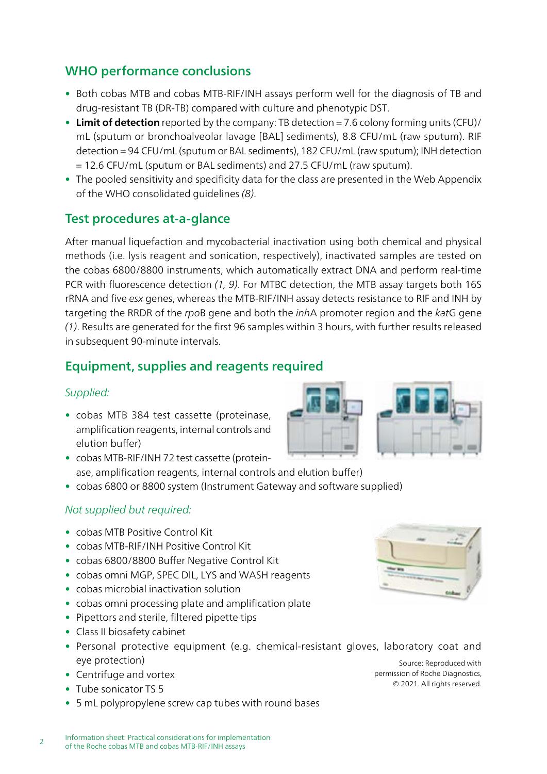# WHO performance conclusions

- Both cobas MTB and cobas MTB-RIF/INH assays perform well for the diagnosis of TB and drug-resistant TB (DR-TB) compared with culture and phenotypic DST.
- Limit of detection reported by the company: TB detection =  $7.6$  colony forming units (CFU)/ mL (sputum or bronchoalveolar lavage [BAL] sediments), 8.8 CFU/mL (raw sputum). RIF detection = 94 CFU/mL (sputum or BAL sediments), 182 CFU/mL (raw sputum); INH detection = 12.6 CFU/mL (sputum or BAL sediments) and 27.5 CFU/mL (raw sputum).
- The pooled sensitivity and specificity data for the class are presented in the Web Appendix of the WHO consolidated guidelines (8).

## Test procedures at-a-glance

After manual liquefaction and mycobacterial inactivation using both chemical and physical methods (i.e. lysis reagent and sonication, respectively), inactivated samples are tested on the cobas 6800/8800 instruments, which automatically extract DNA and perform real-time PCR with fluorescence detection (1, 9). For MTBC detection, the MTB assay targets both 16S rRNA and five esx genes, whereas the MTB-RIF/INH assay detects resistance to RIF and INH by targeting the RRDR of the rpoB gene and both the *inhA* promoter region and the katG gene (1). Results are generated for the first 96 samples within 3 hours, with further results released in subsequent 90-minute intervals.

## Equipment, supplies and reagents required

#### Supplied:

- cobas MTB 384 test cassette (proteinase, amplification reagents, internal controls and elution buffer)
- cobas MTB-RIF/INH 72 test cassette (proteinase, amplification reagents, internal controls and elution buffer)
- cobas 6800 or 8800 system (Instrument Gateway and software supplied)

#### Not supplied but required:

- cobas MTB Positive Control Kit
- cobas MTB-RIF/INH Positive Control Kit
- cobas 6800/8800 Buffer Negative Control Kit
- cobas omni MGP, SPEC DIL, LYS and WASH reagents
- cobas microbial inactivation solution
- cobas omni processing plate and amplification plate
- Pipettors and sterile, filtered pipette tips
- Class II biosafety cabinet
- Personal protective equipment (e.g. chemical-resistant gloves, laboratory coat and eye protection)
- Centrifuge and vortex
- Tube sonicator TS 5
- 5 mL polypropylene screw cap tubes with round bases





Source: Reproduced with permission of Roche Diagnostics, © 2021. All rights reserved.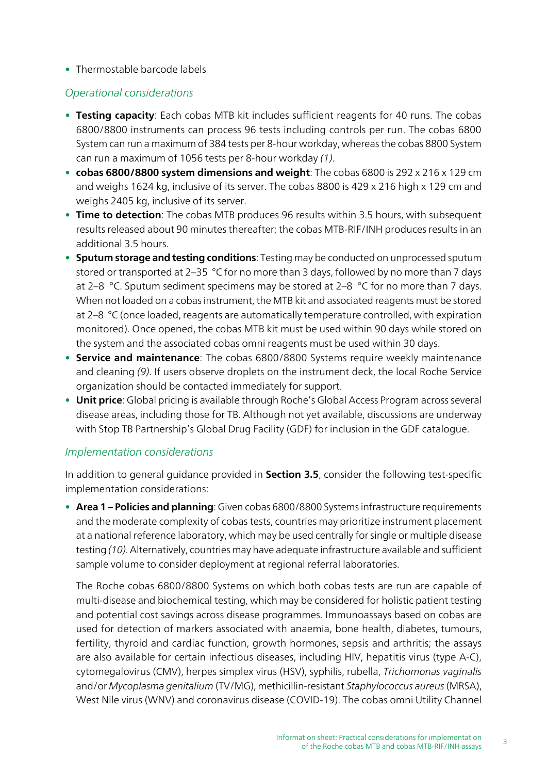• Thermostable barcode labels

#### Operational considerations

- Testing capacity: Each cobas MTB kit includes sufficient reagents for 40 runs. The cobas 6800/8800 instruments can process 96 tests including controls per run. The cobas 6800 System can run a maximum of 384 tests per 8-hour workday, whereas the cobas 8800 System can run a maximum of 1056 tests per 8-hour workday (1).
- cobas 6800/8800 system dimensions and weight: The cobas 6800 is 292 x 216 x 129 cm and weighs 1624 kg, inclusive of its server. The cobas 8800 is 429 x 216 high x 129 cm and weighs 2405 kg, inclusive of its server.
- Time to detection: The cobas MTB produces 96 results within 3.5 hours, with subsequent results released about 90 minutes thereafter; the cobas MTB-RIF/INH produces results in an additional 3.5 hours.
- Sputum storage and testing conditions: Testing may be conducted on unprocessed sputum stored or transported at 2-35 °C for no more than 3 days, followed by no more than 7 days at 2–8  $\degree$ C. Sputum sediment specimens may be stored at 2–8  $\degree$ C for no more than 7 days. When not loaded on a cobas instrument, the MTB kit and associated reagents must be stored at 2–8 °C (once loaded, reagents are automatically temperature controlled, with expiration monitored). Once opened, the cobas MTB kit must be used within 90 days while stored on the system and the associated cobas omni reagents must be used within 30 days.
- Service and maintenance: The cobas 6800/8800 Systems require weekly maintenance and cleaning (9). If users observe droplets on the instrument deck, the local Roche Service organization should be contacted immediately for support.
- Unit price: Global pricing is available through Roche's Global Access Program across several disease areas, including those for TB. Although not yet available, discussions are underway with Stop TB Partnership's Global Drug Facility (GDF) for inclusion in the GDF catalogue.

#### Implementation considerations

In addition to general guidance provided in **Section 3.5**, consider the following test-specific implementation considerations:

• Area 1 - Policies and planning: Given cobas 6800/8800 Systems infrastructure requirements and the moderate complexity of cobas tests, countries may prioritize instrument placement at a national reference laboratory, which may be used centrally for single or multiple disease testing (10). Alternatively, countries may have adequate infrastructure available and sufficient sample volume to consider deployment at regional referral laboratories.

The Roche cobas 6800/8800 Systems on which both cobas tests are run are capable of multi-disease and biochemical testing, which may be considered for holistic patient testing and potential cost savings across disease programmes. Immunoassays based on cobas are used for detection of markers associated with anaemia, bone health, diabetes, tumours, fertility, thyroid and cardiac function, growth hormones, sepsis and arthritis; the assays are also available for certain infectious diseases, including HIV, hepatitis virus (type A-C), cytomegalovirus (CMV), herpes simplex virus (HSV), syphilis, rubella, Trichomonas vaginalis and/or Mycoplasma genitalium (TV/MG), methicillin-resistant Staphylococcus aureus (MRSA), West Nile virus (WNV) and coronavirus disease (COVID-19). The cobas omni Utility Channel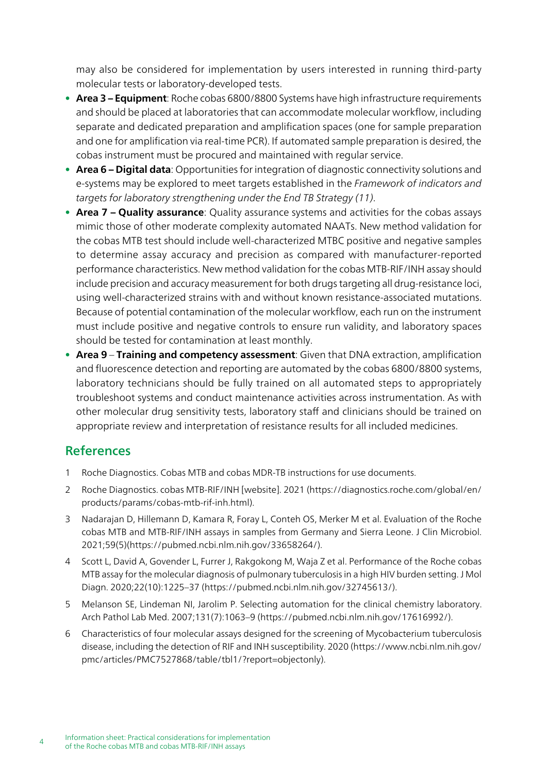may also be considered for implementation by users interested in running third-party molecular tests or laboratory-developed tests.

- Area 3 Equipment: Roche cobas 6800/8800 Systems have high infrastructure requirements and should be placed at laboratories that can accommodate molecular workflow, including separate and dedicated preparation and amplification spaces (one for sample preparation and one for amplification via real-time PCR). If automated sample preparation is desired, the cobas instrument must be procured and maintained with regular service.
- Area 6 Digital data: Opportunities for integration of diagnostic connectivity solutions and e-systems may be explored to meet targets established in the Framework of indicators and targets for laboratory strengthening under the End TB Strategy (11).
- Area 7 Quality assurance: Quality assurance systems and activities for the cobas assays mimic those of other moderate complexity automated NAATs. New method validation for the cobas MTB test should include well-characterized MTBC positive and negative samples to determine assay accuracy and precision as compared with manufacturer-reported performance characteristics. New method validation for the cobas MTB-RIF/INH assay should include precision and accuracy measurement for both drugs targeting all drug-resistance loci, using well-characterized strains with and without known resistance-associated mutations. Because of potential contamination of the molecular workflow, each run on the instrument must include positive and negative controls to ensure run validity, and laboratory spaces should be tested for contamination at least monthly.
- Area 9 Training and competency assessment: Given that DNA extraction, amplification and fluorescence detection and reporting are automated by the cobas 6800/8800 systems, laboratory technicians should be fully trained on all automated steps to appropriately troubleshoot systems and conduct maintenance activities across instrumentation. As with other molecular drug sensitivity tests, laboratory staff and clinicians should be trained on appropriate review and interpretation of resistance results for all included medicines.

## References

- 1 Roche Diagnostics. Cobas MTB and cobas MDR-TB instructions for use documents.
- 2 Roche Diagnostics. cobas MTB-RIF/INH [website]. 2021 (https://diagnostics.roche.com/global/en/ products/params/cobas-mtb-rif-inh.html).
- 3 Nadarajan D, Hillemann D, Kamara R, Foray L, Conteh OS, Merker M et al. Evaluation of the Roche cobas MTB and MTB-RIF/INH assays in samples from Germany and Sierra Leone. J Clin Microbiol. 2021;59(5)(https://pubmed.ncbi.nlm.nih.gov/33658264/).
- 4 Scott L, David A, Govender L, Furrer J, Rakgokong M, Waja Z et al. Performance of the Roche cobas MTB assay for the molecular diagnosis of pulmonary tuberculosis in a high HIV burden setting. J Mol Diagn. 2020;22(10):1225–37 (https://pubmed.ncbi.nlm.nih.gov/32745613/).
- 5 Melanson SE, Lindeman NI, Jarolim P. Selecting automation for the clinical chemistry laboratory. Arch Pathol Lab Med. 2007;131(7):1063–9 (https://pubmed.ncbi.nlm.nih.gov/17616992/).
- 6 Characteristics of four molecular assays designed for the screening of Mycobacterium tuberculosis disease, including the detection of RIF and INH susceptibility. 2020 (https://www.ncbi.nlm.nih.gov/ pmc/articles/PMC7527868/table/tbl1/?report=objectonly).